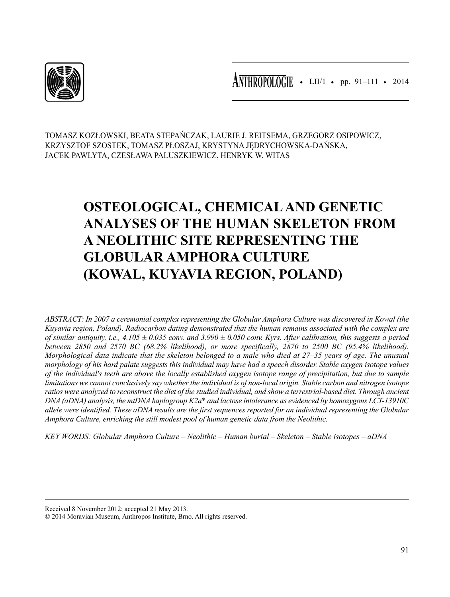

• LII/1 • pp. 91–111 • 2014 **ANTHROPOLOGIE**

TOMASZ KOZŁOWSKI, BEATA STEPAŃCZAK, LAURIE J. REITSEMA, GRZEGORZ OSIPOWICZ, KRZYSZTOF SZOSTEK, TOMASZ PŁOSZAJ, KRYSTYNA JĘDRYCHOWSKA-DAŃSKA, JACEK PAWLYTA, CZESŁAWA PALUSZKIEWICZ, HENRYK W. WITAS

# **OSTEOLOGICAL, CHEMICAL AND GENETIC ANALYSES OF THE HUMAN SKELETON FROM A NEOLITHIC SITE REPRESENTING THE GLOBULAR AMPHORA CULTURE (KOWAL, KUYAVIA REGION, POLAND)**

*ABSTRACT: In 2007 a ceremonial complex representing the Globular Amphora Culture was discovered in Kowal (the Kuyavia region, Poland). Radiocarbon dating demonstrated that the human remains associated with the complex are of similar antiquity, i.e., 4.105 ± 0.035 conv. and 3.990 ± 0.050 conv. Kyrs. After calibration, this suggests a period between 2850 and 2570 BC (68.2% likelihood), or more specifically, 2870 to 2500 BC (95.4% likelihood). Morphological data indicate that the skeleton belonged to a male who died at 27–35 years of age. The unusual morphology of his hard palate suggests this individual may have had a speech disorder. Stable oxygen isotope values of the individual's teeth are above the locally established oxygen isotope range of precipitation, but due to sample limitations we cannot conclusively say whether the individual is of non-local origin. Stable carbon and nitrogen isotope ratios were analyzed to reconstruct the diet of the studied individual, and show a terrestrial-based diet. Through ancient DNA (aDNA) analysis, the mtDNA haplogroup K2a\* and lactose intolerance as evidenced by homozygous LCT-13910C allele were identified. These aDNA results are the first sequences reported for an individual representing the Globular Amphora Culture, enriching the still modest pool of human genetic data from the Neolithic.*

*KEY WORDS: Globular Amphora Culture – Neolithic – Human burial – Skeleton – Stable isotopes – aDNA*

Received 8 November 2012; accepted 21 May 2013.

<sup>© 2014</sup> Moravian Museum, Anthropos Institute, Brno. All rights reserved.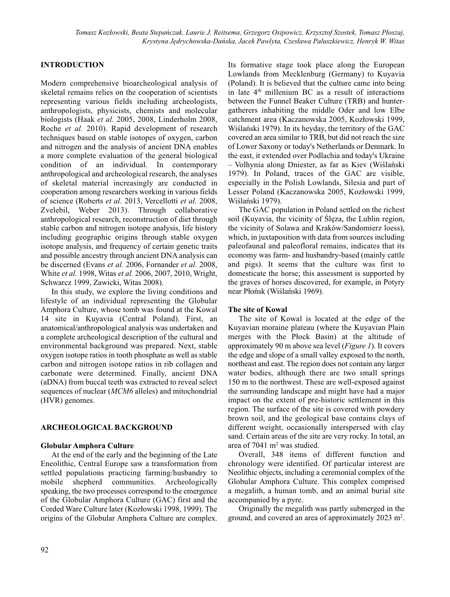## **INTRODUCTION**

Modern comprehensive bioarcheological analysis of skeletal remains relies on the cooperation of scientists representing various fields including archeologists, anthropologists, physicists, chemists and molecular biologists (Haak *et al.* 2005, 2008, Linderholm 2008, Roche *et al.* 2010). Rapid development of research techniques based on stable isotopes of oxygen, carbon and nitrogen and the analysis of ancient DNA enables a more complete evaluation of the general biological condition of an individual. In contemporary anthropological and archeological research, the analyses of skeletal material increasingly are conducted in cooperation among researchers working in various fields of science (Roberts *et al.* 2013, Vercellotti *et al.* 2008, Zvelebil, Weber 2013). Through collaborative anthropological research, reconstruction of diet through stable carbon and nitrogen isotope analysis, life history including geographic origins through stable oxygen isotope analysis, and frequency of certain genetic traits and possible ancestry through ancient DNA analysis can be discerned (Evans *et al.* 2006, Fornander *et al.* 2008, White *et al.* 1998, Witas *et al.* 2006, 2007, 2010, Wright, Schwarcz 1999, Zawicki, Witas 2008).

In this study, we explore the living conditions and lifestyle of an individual representing the Globular Amphora Culture, whose tomb was found at the Kowal 14 site in Kuyavia (Central Poland). First, an anatomical/anthropological analysis was undertaken and a complete archeological description of the cultural and environmental background was prepared. Next, stable oxygen isotope ratios in tooth phosphate as well as stable carbon and nitrogen isotope ratios in rib collagen and carbonate were determined. Finally, ancient DNA (aDNA) from buccal teeth was extracted to reveal select sequences of nuclear (*MCM6* alleles) and mitochondrial (HVR) genomes.

## **ARCHEOLOGICAL BACKGROUND**

## **Globular Amphora Culture**

At the end of the early and the beginning of the Late Eneolithic, Central Europe saw a transformation from settled populations practicing farming/husbandry to mobile shepherd communities. Archeologically speaking, the two processes correspond to the emergence of the Globular Amphora Culture (GAC) first and the Corded Ware Culture later (Kozłowski 1998, 1999). The origins of the Globular Amphora Culture are complex. Its formative stage took place along the European Lowlands from Mecklenburg (Germany) to Kuyavia (Poland). It is believed that the culture came into being in late  $4<sup>th</sup>$  millenium BC as a result of interactions between the Funnel Beaker Culture (TRB) and huntergatherers inhabiting the middle Oder and low Elbe catchment area (Kaczanowska 2005, Kozłowski 1999, Wiślański 1979). In its heyday, the territory of the GAC covered an area similar to TRB, but did not reach the size of Lower Saxony or today's Netherlands or Denmark. In the east, it extended over Podlachia and today's Ukraine – Volhynia along Dniester, as far as Kiev (Wiślański 1979). In Poland, traces of the GAC are visible, especially in the Polish Lowlands, Silesia and part of Lesser Poland (Kaczanowska 2005, Kozłowski 1999, Wiślański 1979).

The GAC population in Poland settled on the richest soil (Kuyavia, the vicinity of Ślęza, the Lublin region, the vicinity of Solawa and Kraków/Sandomierz loess), which, in juxtaposition with data from sources including paleofaunal and paleofloral remains, indicates that its economy was farm- and husbandry-based (mainly cattle and pigs). It seems that the culture was first to domesticate the horse; this assessment is supported by the graves of horses discovered, for example, in Potyry near Płońsk (Wiślański 1969).

## **The site of Kowal**

The site of Kowal is located at the edge of the Kuyavian moraine plateau (where the Kuyavian Plain merges with the Płock Basin) at the altitude of approximately 90 m above sea level (*Figure 1*). It covers the edge and slope of a small valley exposed to the north, northeast and east. The region does not contain any larger water bodies, although there are two small springs 150 m to the northwest. These are well-exposed against the surrounding landscape and might have had a major impact on the extent of pre-historic settlement in this region. The surface of the site is covered with powdery brown soil, and the geological base contains clays of different weight, occasionally interspersed with clay sand. Certain areas of the site are very rocky. In total, an area of 7041 m2 was studied.

Overall, 348 items of different function and chronology were identified. Of particular interest are Neolithic objects, including a ceremonial complex of the Globular Amphora Culture. This complex comprised a megalith, a human tomb, and an animal burial site accompanied by a pyre.

Originally the megalith was partly submerged in the ground, and covered an area of approximately 2023 m<sup>2</sup>.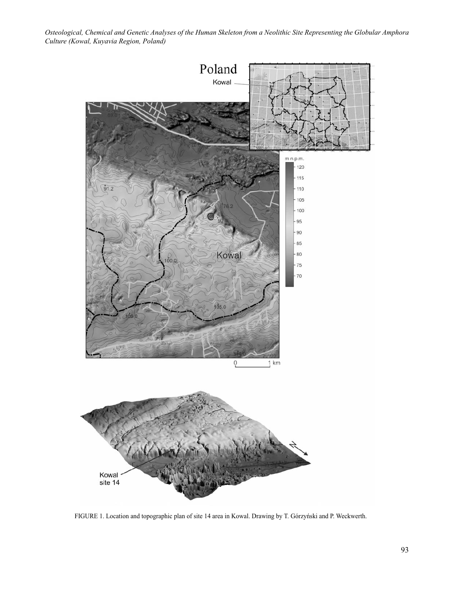

FIGURE 1. Location and topographic plan of site 14 area in Kowal. Drawing by T. Górzyński and P. Weckwerth.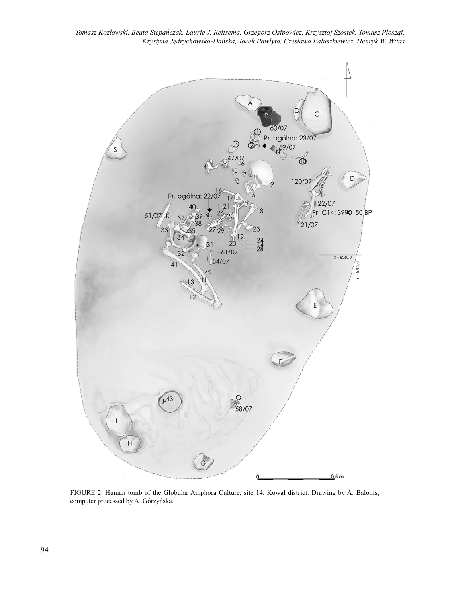

FIGURE 2. Human tomb of the Globular Amphora Culture, site 14, Kowal district. Drawing by A. Balonis, computer processed by A. Górzyńska.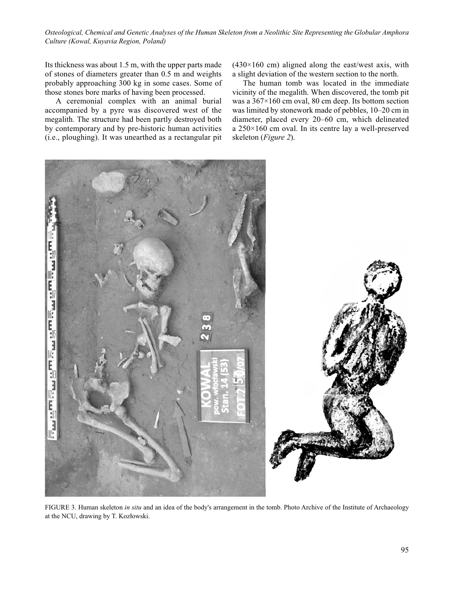Its thickness was about 1.5 m, with the upper parts made of stones of diameters greater than 0.5 m and weights probably approaching 300 kg in some cases. Some of those stones bore marks of having been processed.

A ceremonial complex with an animal burial accompanied by a pyre was discovered west of the megalith. The structure had been partly destroyed both by contemporary and by pre-historic human activities (i.e., ploughing). It was unearthed as a rectangular pit  $(430\times160$  cm) aligned along the east/west axis, with a slight deviation of the western section to the north.

The human tomb was located in the immediate vicinity of the megalith. When discovered, the tomb pit was a 367×160 cm oval, 80 cm deep. Its bottom section was limited by stonework made of pebbles, 10–20 cm in diameter, placed every 20–60 cm, which delineated a 250×160 cm oval. In its centre lay a well-preserved skeleton (*Figure 2*).



FIGURE 3. Human skeleton *in situ* and an idea of the body's arrangement in the tomb. Photo Archive of the Institute of Archaeology at the NCU, drawing by T. Kozłowski.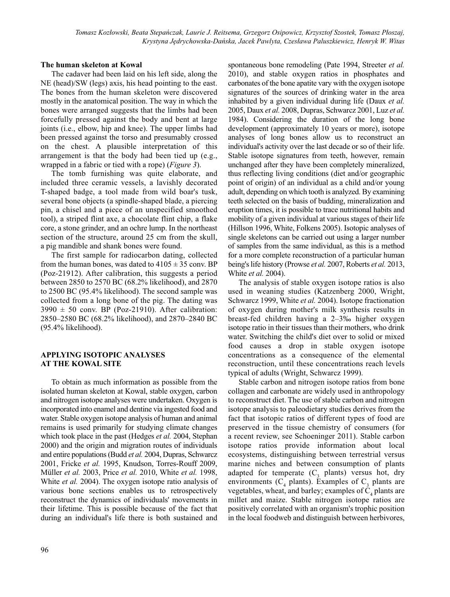## **The human skeleton at Kowal**

The cadaver had been laid on his left side, along the NE (head)/SW (legs) axis, his head pointing to the east. The bones from the human skeleton were discovered mostly in the anatomical position. The way in which the bones were arranged suggests that the limbs had been forcefully pressed against the body and bent at large joints (i.e., elbow, hip and knee). The upper limbs had been pressed against the torso and presumably crossed on the chest. A plausible interpretation of this arrangement is that the body had been tied up (e.g., wrapped in a fabric or tied with a rope) (*Figure 3*).

The tomb furnishing was quite elaborate, and included three ceramic vessels, a lavishly decorated T-shaped badge, a tool made from wild boar's tusk, several bone objects (a spindle-shaped blade, a piercing pin, a chisel and a piece of an unspecified smoothed tool), a striped flint axe, a chocolate flint chip, a flake core, a stone grinder, and an ochre lump. In the northeast section of the structure, around 25 cm from the skull, a pig mandible and shank bones were found.

The first sample for radiocarbon dating, collected from the human bones, was dated to  $4105 \pm 35$  conv. BP (Poz-21912). After calibration, this suggests a period between 2850 to 2570 BC (68.2% likelihood), and 2870 to 2500 BC (95.4% likelihood). The second sample was collected from a long bone of the pig. The dating was  $3990 \pm 50$  conv. BP (Poz-21910). After calibration: 2850–2580 BC (68.2% likelihood), and 2870–2840 BC (95.4% likelihood).

## **APPLYING ISOTOPIC ANALYSES AT THE KOWAL SITE**

To obtain as much information as possible from the isolated human skeleton at Kowal, stable oxygen, carbon and nitrogen isotope analyses were undertaken. Oxygen is incorporated into enamel and dentine via ingested food and water. Stable oxygen isotope analysis of human and animal remains is used primarily for studying climate changes which took place in the past (Hedges *et al.* 2004, Stephan 2000) and the origin and migration routes of individuals and entire populations (Budd *et al.* 2004, Dupras, Schwarcz 2001, Fricke *et al.* 1995, Knudson, Torres-Rouff 2009, Müller *et al.* 2003, Price *et al.* 2010, White *et al.* 1998, White *et al.* 2004). The oxygen isotope ratio analysis of various bone sections enables us to retrospectively reconstruct the dynamics of individuals' movements in their lifetime. This is possible because of the fact that during an individual's life there is both sustained and

spontaneous bone remodeling (Pate 1994, Streeter *et al.* 2010), and stable oxygen ratios in phosphates and carbonates of the bone apatite vary with the oxygen isotope signatures of the sources of drinking water in the area inhabited by a given individual during life (Daux *et al.* 2005, Daux *et al.* 2008, Dupras, Schwarcz 2001, Luz *et al.* 1984). Considering the duration of the long bone development (approximately 10 years or more), isotope analyses of long bones allow us to reconstruct an individual's activity over the last decade or so of their life. Stable isotope signatures from teeth, however, remain unchanged after they have been completely mineralized, thus reflecting living conditions (diet and/or geographic point of origin) of an individual as a child and/or young adult, depending on which tooth is analyzed. By examining teeth selected on the basis of budding, mineralization and eruption times, it is possible to trace nutritional habits and mobility of a given individual at various stages of their life (Hillson 1996, White, Folkens 2005). Isotopic analyses of single skeletons can be carried out using a larger number of samples from the same individual, as this is a method for a more complete reconstruction of a particular human being's life history (Prowse *et al.* 2007, Roberts *et al.* 2013, White *et al.* 2004).

The analysis of stable oxygen isotope ratios is also used in weaning studies (Katzenberg 2000, Wright, Schwarcz 1999, White *et al.* 2004). Isotope fractionation of oxygen during mother's milk synthesis results in breast-fed children having a 2–3‰ higher oxygen isotope ratio in their tissues than their mothers, who drink water. Switching the child's diet over to solid or mixed food causes a drop in stable oxygen isotope concentrations as a consequence of the elemental reconstruction, until these concentrations reach levels typical of adults (Wright, Schwarcz 1999).

Stable carbon and nitrogen isotope ratios from bone collagen and carbonate are widely used in anthropology to reconstruct diet. The use of stable carbon and nitrogen isotope analysis to paleodietary studies derives from the fact that isotopic ratios of different types of food are preserved in the tissue chemistry of consumers (for a recent review, see Schoeninger 2011). Stable carbon isotope ratios provide information about local ecosystems, distinguishing between terrestrial versus marine niches and between consumption of plants adapted for temperate  $(C_3$  plants) versus hot, dry environments ( $C_4$  plants). Examples of  $C_3$  plants are vegetables, wheat, and barley; examples of  $C_4$  plants are millet and maize. Stable nitrogen isotope ratios are positively correlated with an organism's trophic position in the local foodweb and distinguish between herbivores,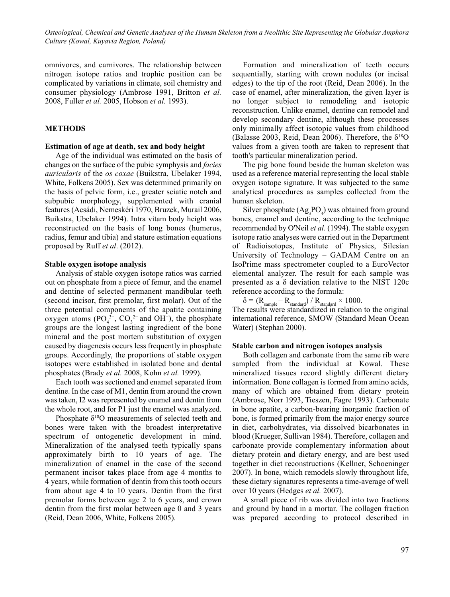omnivores, and carnivores. The relationship between nitrogen isotope ratios and trophic position can be complicated by variations in climate, soil chemistry and consumer physiology (Ambrose 1991, Britton *et al.* 2008, Fuller *et al.* 2005, Hobson *et al.* 1993).

## **METHODS**

#### **Estimation of age at death, sex and body height**

Age of the individual was estimated on the basis of changes on the surface of the pubic symphysis and *facies auricularis* of the *os coxae* (Buikstra, Ubelaker 1994, White, Folkens 2005). Sex was determined primarily on the basis of pelvic form, i.e., greater sciatic notch and subpubic morphology, supplemented with cranial features (Acsádi, Nemeskéri 1970, Bruzek, Murail 2006, Buikstra, Ubelaker 1994). Intra vitam body height was reconstructed on the basis of long bones (humerus, radius, femur and tibia) and stature estimation equations proposed by Ruff *et al*. (2012).

#### **Stable oxygen isotope analysis**

Analysis of stable oxygen isotope ratios was carried out on phosphate from a piece of femur, and the enamel and dentine of selected permanent mandibular teeth (second incisor, first premolar, first molar). Out of the three potential components of the apatite containing oxygen atoms  $(PO_4^{3-}$ ,  $CO_3^{2-}$  and OH<sup>-</sup>), the phosphate groups are the longest lasting ingredient of the bone mineral and the post mortem substitution of oxygen caused by diagenesis occurs less frequently in phosphate groups. Accordingly, the proportions of stable oxygen isotopes were established in isolated bone and dental phosphates (Brady *et al.* 2008, Kohn *et al.* 1999).

Each tooth was sectioned and enamel separated from dentine. In the case of M1, dentin from around the crown was taken, I2 was represented by enamel and dentin from the whole root, and for P1 just the enamel was analyzed.

Phosphate  $\delta^{18}$ O measurements of selected teeth and bones were taken with the broadest interpretative spectrum of ontogenetic development in mind. Mineralization of the analysed teeth typically spans approximately birth to 10 years of age. The mineralization of enamel in the case of the second permanent incisor takes place from age 4 months to 4 years, while formation of dentin from this tooth occurs from about age 4 to 10 years. Dentin from the first premolar forms between age 2 to 6 years, and crown dentin from the first molar between age 0 and 3 years (Reid, Dean 2006, White, Folkens 2005).

Formation and mineralization of teeth occurs sequentially, starting with crown nodules (or incisal edges) to the tip of the root (Reid, Dean 2006). In the case of enamel, after mineralization, the given layer is no longer subject to remodeling and isotopic reconstruction. Unlike enamel, dentine can remodel and develop secondary dentine, although these processes only minimally affect isotopic values from childhood (Balasse 2003, Reid, Dean 2006). Therefore, the  $\delta^{18}O$ values from a given tooth are taken to represent that tooth's particular mineralization period.

The pig bone found beside the human skeleton was used as a reference material representing the local stable oxygen isotope signature. It was subjected to the same analytical procedures as samples collected from the human skeleton.

Silver phosphate  $(Ag_3PO_4)$  was obtained from ground bones, enamel and dentine, according to the technique recommended by O'Neil *et al.* (1994). The stable oxygen isotope ratio analyses were carried out in the Department of Radioisotopes, Institute of Physics, Silesian University of Technology – GADAM Centre on an IsoPrime mass spectrometer coupled to a EuroVector elemental analyzer. The result for each sample was presented as a  $\delta$  deviation relative to the NIST 120c reference according to the formula:

 $\delta$  = (R<sub>sample</sub> – R<sub>standard</sub>) / R<sub>standard</sub> × 1000.

The results were standardized in relation to the original international reference, SMOW (Standard Mean Ocean Water) (Stephan 2000).

#### **Stable carbon and nitrogen isotopes analysis**

Both collagen and carbonate from the same rib were sampled from the individual at Kowal. These mineralized tissues record slightly different dietary information. Bone collagen is formed from amino acids, many of which are obtained from dietary protein (Ambrose, Norr 1993, Tieszen, Fagre 1993). Carbonate in bone apatite, a carbon-bearing inorganic fraction of bone, is formed primarily from the major energy source in diet, carbohydrates, via dissolved bicarbonates in blood (Krueger, Sullivan 1984). Therefore, collagen and carbonate provide complementary information about dietary protein and dietary energy, and are best used together in diet reconstructions (Kellner, Schoeninger 2007). In bone, which remodels slowly throughout life, these dietary signatures represents a time-average of well over 10 years (Hedges *et al.* 2007).

A small piece of rib was divided into two fractions and ground by hand in a mortar. The collagen fraction was prepared according to protocol described in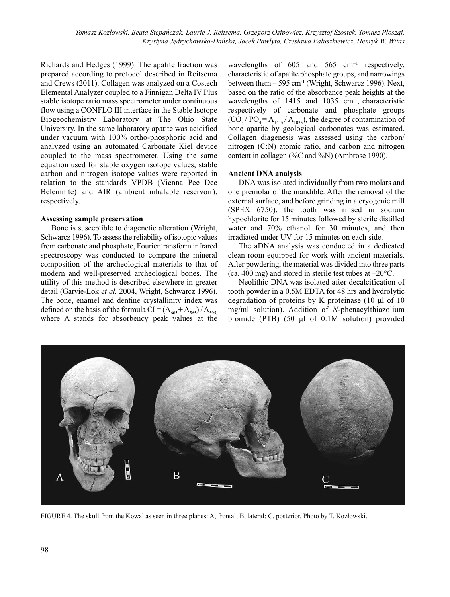Richards and Hedges (1999). The apatite fraction was prepared according to protocol described in Reitsema and Crews (2011). Collagen was analyzed on a Costech Elemental Analyzer coupled to a Finnigan Delta IV Plus stable isotope ratio mass spectrometer under continuous flow using a CONFLO III interface in the Stable Isotope Biogeochemistry Laboratory at The Ohio State University. In the same laboratory apatite was acidified under vacuum with 100% ortho-phosphoric acid and analyzed using an automated Carbonate Kiel device coupled to the mass spectrometer. Using the same equation used for stable oxygen isotope values, stable carbon and nitrogen isotope values were reported in relation to the standards VPDB (Vienna Pee Dee Belemnite) and AIR (ambient inhalable reservoir), respectively.

#### **Assessing sample preservation**

Bone is susceptible to diagenetic alteration (Wright, Schwarcz 1996). To assess the reliability of isotopic values from carbonate and phosphate, Fourier transform infrared spectroscopy was conducted to compare the mineral composition of the archeological materials to that of modern and well-preserved archeological bones. The utility of this method is described elsewhere in greater detail (Garvie-Lok *et al.* 2004, Wright, Schwarcz 1996). The bone, enamel and dentine crystallinity index was defined on the basis of the formula CI =  $(A<sub>605</sub> + A<sub>565</sub>) / A<sub>595</sub>$ where A stands for absorbency peak values at the

wavelengths of 605 and 565  $cm^{-1}$  respectively, characteristic of apatite phosphate groups, and narrowings between them  $-595$  cm<sup>-1</sup> (Wright, Schwarcz 1996). Next, based on the ratio of the absorbance peak heights at the wavelengths of  $1415$  and  $1035$  cm<sup>-1</sup>, characteristic respectively of carbonate and phosphate groups  $(CO<sub>3</sub>/ PO<sub>4</sub> = A<sub>1415</sub>/A<sub>1035</sub>)$ , the degree of contamination of bone apatite by geological carbonates was estimated. Collagen diagenesis was assessed using the carbon/ nitrogen (C:N) atomic ratio, and carbon and nitrogen content in collagen (%C and %N) (Ambrose 1990).

#### **Ancient DNA analysis**

DNA was isolated individually from two molars and one premolar of the mandible. After the removal of the external surface, and before grinding in a cryogenic mill (SPEX 6750), the tooth was rinsed in sodium hypochlorite for 15 minutes followed by sterile distilled water and 70% ethanol for 30 minutes, and then irradiated under UV for 15 minutes on each side.

The aDNA analysis was conducted in a dedicated clean room equipped for work with ancient materials. After powdering, the material was divided into three parts (ca. 400 mg) and stored in sterile test tubes at  $-20^{\circ}$ C.

Neolithic DNA was isolated after decalcification of tooth powder in a 0.5M EDTA for 48 hrs and hydrolytic degradation of proteins by K proteinase (10 μl of 10 mg/ml solution). Addition of *N*-phenacylthiazolium bromide (PTB) (50 μl of 0.1M solution) provided



FIGURE 4. The skull from the Kowal as seen in three planes: A, frontal; B, lateral; C, posterior. Photo by T. Kozłowski.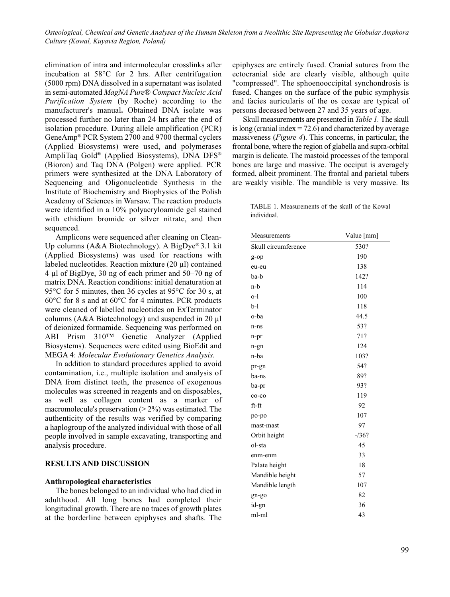elimination of intra and intermolecular crosslinks after incubation at 58°C for 2 hrs. After centrifugation (5000 rpm) DNA dissolved in a supernatant was isolated in semi-automated *MagNA Pure® Compact Nucleic Acid Purification System* (by Roche) according to the manufacturer's manual**.** Obtained DNA isolate was processed further no later than 24 hrs after the end of isolation procedure. During allele amplification (PCR) GeneAmp® PCR System 2700 and 9700 thermal cyclers (Applied Biosystems) were used, and polymerases AmpliTaq Gold® (Applied Biosystems), DNA DFS® (Bioron) and Taq DNA (Polgen) were applied. PCR primers were synthesized at the DNA Laboratory of Sequencing and Oligonucleotide Synthesis in the Institute of Biochemistry and Biophysics of the Polish Academy of Sciences in Warsaw. The reaction products were identified in a 10% polyacryloamide gel stained with ethidium bromide or silver nitrate, and then sequenced.

Amplicons were sequenced after cleaning on Clean-Up columns (A&A Biotechnology). A BigDye® 3.1 kit (Applied Biosystems) was used for reactions with labeled nucleotides. Reaction mixture (20 µl) contained 4 µl of BigDye, 30 ng of each primer and 50–70 ng of matrix DNA. Reaction conditions: initial denaturation at 95°C for 5 minutes, then 36 cycles at 95°C for 30 s, at 60°C for 8 s and at 60°C for 4 minutes. PCR products were cleaned of labelled nucleotides on ExTerminator columns (A&A Biotechnology) and suspended in 20 µl of deionized formamide. Sequencing was performed on ABI Prism 310™ Genetic Analyzer (Applied Biosystems). Sequences were edited using BioEdit and MEGA 4: *Molecular Evolutionary Genetics Analysis.*

In addition to standard procedures applied to avoid contamination, i.e., multiple isolation and analysis of DNA from distinct teeth, the presence of exogenous molecules was screened in reagents and on disposables, as well as collagen content as a marker of macromolecule's preservation  $(2\%)$  was estimated. The authenticity of the results was verified by comparing a haplogroup of the analyzed individual with those of all people involved in sample excavating, transporting and analysis procedure.

#### **RESULTS AND DISCUSSION**

## **Anthropological characteristics**

The bones belonged to an individual who had died in adulthood. All long bones had completed their longitudinal growth. There are no traces of growth plates at the borderline between epiphyses and shafts. The

epiphyses are entirely fused. Cranial sutures from the ectocranial side are clearly visible, although quite "compressed". The sphoenooccipital synchondrosis is fused. Changes on the surface of the pubic symphysis and facies auricularis of the os coxae are typical of persons deceased between 27 and 35 years of age.

Skull measurements are presented in *Table 1.* The skull is long (cranial index  $= 72.6$ ) and characterized by average massiveness (*Figure 4*). This concerns, in particular, the frontal bone, where the region of glabella and supra-orbital margin is delicate. The mastoid processes of the temporal bones are large and massive. The occiput is averagely formed, albeit prominent. The frontal and parietal tubers are weakly visible. The mandible is very massive. Its

TABLE 1. Measurements of the skull of the Kowal individual.

| Measurements        | Value [mm] |  |  |
|---------------------|------------|--|--|
| Skull circumference | 530?       |  |  |
| g-op                | 190        |  |  |
| eu-eu               | 138        |  |  |
| ba-b                | 142?       |  |  |
| n-b                 | 114        |  |  |
| $o-1$               | 100        |  |  |
| $b-1$               | 118        |  |  |
| o-ba                | 44.5       |  |  |
| n-ns                | 53?        |  |  |
| n-pr                | 71?        |  |  |
| n-gn                | 124        |  |  |
| n-ba                | 103?       |  |  |
| pr-gn               | 54?        |  |  |
| ba-ns               | 89?        |  |  |
| ba-pr               | 93?        |  |  |
| $co-co$             | 119        |  |  |
| ft-ft               | 92         |  |  |
| po-po               | 107        |  |  |
| mast-mast           | 97         |  |  |
| Orbit height        | $-136?$    |  |  |
| ol-sta              | 45         |  |  |
| enm-enm             | 33         |  |  |
| Palate height       | 18         |  |  |
| Mandible height     | 57         |  |  |
| Mandible length     | 107        |  |  |
| gn-go               | 82         |  |  |
| id-gn               | 36         |  |  |
| ml-ml               | 43         |  |  |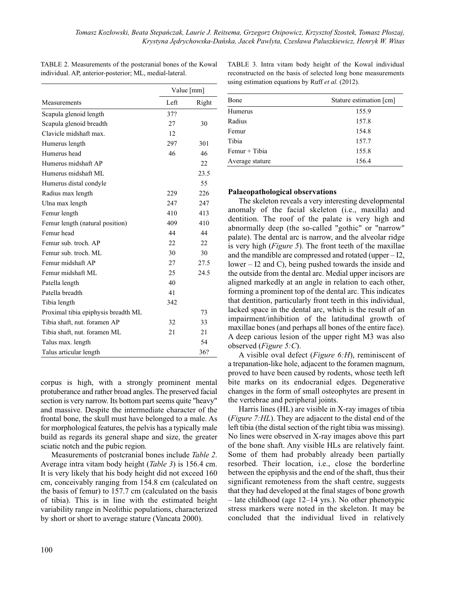|                                     |      | Value [mm] |  |
|-------------------------------------|------|------------|--|
| Measurements                        | Left | Right      |  |
| Scapula glenoid length              | 37?  |            |  |
| Scapula glenoid breadth             | 27   | 30         |  |
| Clavicle midshaft max.              | 12   |            |  |
| Humerus length                      | 297  | 301        |  |
| Humerus head                        | 46   | 46         |  |
| Humerus midshaft AP                 |      | 22         |  |
| Humerus midshaft ML                 |      | 23.5       |  |
| Humerus distal condyle              |      | 55         |  |
| Radius max length                   | 229  | 226        |  |
| Ulna max length                     | 247  | 247        |  |
| Femur length                        | 410  | 413        |  |
| Femur length (natural position)     | 409  | 410        |  |
| Femur head                          | 44   | 44         |  |
| Femur sub. troch. AP                | 22   | 22         |  |
| Femur sub. troch. ML                | 30   | 30         |  |
| Femur midshaft AP                   | 27   | 27.5       |  |
| Femur midshaft ML                   | 25   | 24.5       |  |
| Patella length                      | 40   |            |  |
| Patella breadth                     | 41   |            |  |
| Tibia length                        | 342  |            |  |
| Proximal tibia epiphysis breadth ML |      | 73         |  |
| Tibia shaft, nut. foramen AP        | 32   | 33         |  |
| Tibia shaft, nut. foramen ML        | 21   | 21         |  |
| Talus max. length                   |      | 54         |  |
| Talus articular length              |      | 36?        |  |

TABLE 2. Measurements of the postcranial bones of the Kowal individual. AP, anterior-posterior; ML, medial-lateral.

corpus is high, with a strongly prominent mental protuberance and rather broad angles. The preserved facial section is very narrow. Its bottom part seems quite "heavy" and massive. Despite the intermediate character of the frontal bone, the skull must have belonged to a male. As for morphological features, the pelvis has a typically male build as regards its general shape and size, the greater sciatic notch and the pubic region. Measurements of postcranial bones include *Table 2*.

Average intra vitam body height (*Table 3*) is 156.4 cm. It is very likely that his body height did not exceed 160 cm, conceivably ranging from 154.8 cm (calculated on the basis of femur) to 157.7 cm (calculated on the basis of tibia). This is in line with the estimated height variability range in Neolithic populations, characterized by short or short to average stature (Vancata 2000).

TABLE 3. Intra vitam body height of the Kowal individual reconstructed on the basis of selected long bone measurements using estimation equations by Ruff *et al.* (2012).

| Bone            | Stature estimation [cm] |
|-----------------|-------------------------|
| Humerus         | 155.9                   |
| Radius          | 157.8                   |
| Femur           | 154.8                   |
| Tibia           | 157.7                   |
| $Femur + Tibia$ | 155.8                   |
| Average stature | 156.4                   |

## **Palaeopathological observations**

The skeleton reveals a very interesting developmental anomaly of the facial skeleton (i.e., maxilla) and dentition. The roof of the palate is very high and abnormally deep (the so-called "gothic" or "narrow" palate). The dental arc is narrow, and the alveolar ridge is very high (*Figure 5*). The front teeth of the maxillae and the mandible are compressed and rotated (upper – I2, lower – I2 and C), being pushed towards the inside and the outside from the dental arc. Medial upper incisors are aligned markedly at an angle in relation to each other, forming a prominent top of the dental arc. This indicates that dentition, particularly front teeth in this individual, lacked space in the dental arc, which is the result of an impairment/inhibition of the latitudinal growth of maxillae bones (and perhaps all bones of the entire face). A deep carious lesion of the upper right M3 was also observed (*Figure 5:C*).

A visible oval defect (*Figure 6:H*), reminiscent of a trepanation-like hole, adjacent to the foramen magnum, proved to have been caused by rodents, whose teeth left bite marks on its endocranial edges. Degenerative changes in the form of small osteophytes are present in the vertebrae and peripheral joints.

Harris lines (HL) are visible in X-ray images of tibia (*Figure 7:HL*). They are adjacent to the distal end of the left tibia (the distal section of the right tibia was missing). No lines were observed in X-ray images above this part of the bone shaft. Any visible HLs are relatively faint. Some of them had probably already been partially resorbed. Their location, i.e., close the borderline between the epiphysis and the end of the shaft, thus their significant remoteness from the shaft centre, suggests that they had developed at the final stages of bone growth – late childhood (age 12–14 yrs.). No other phenotypic stress markers were noted in the skeleton. It may be concluded that the individual lived in relatively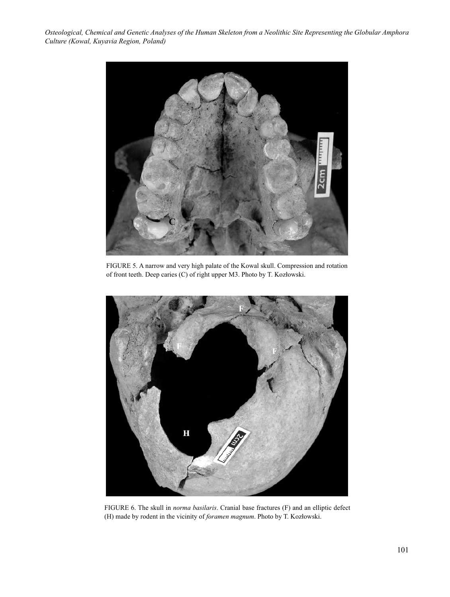

FIGURE 5. A narrow and very high palate of the Kowal skull. Compression and rotation of front teeth. Deep caries (C) of right upper M3. Photo by T. Kozłowski.



FIGURE 6. The skull in *norma basilaris*. Cranial base fractures (F) and an elliptic defect (H) made by rodent in the vicinity of *foramen magnum*. Photo by T. Kozłowski.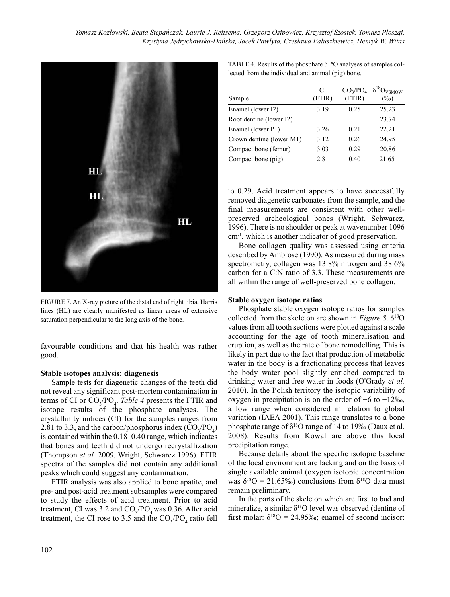

FIGURE 7. An X-ray picture of the distal end of right tibia. Harris lines (HL) are clearly manifested as linear areas of extensive saturation perpendicular to the long axis of the bone.

favourable conditions and that his health was rather good.

#### **Stable isotopes analysis: diagenesis**

Sample tests for diagenetic changes of the teeth did not reveal any significant post-mortem contamination in terms of CI or  $CO_3/PO_4$ . *Table 4* presents the FTIR and isotope results of the phosphate analyses. The crystallinity indices (CI) for the samples ranges from 2.81 to 3.3, and the carbon/phosphorus index  $(CO_3/PO_4)$ is contained within the 0.18–0.40 range, which indicates that bones and teeth did not undergo recrystallization (Thompson *et al.* 2009, Wright, Schwarcz 1996). FTIR spectra of the samples did not contain any additional peaks which could suggest any contamination.

FTIR analysis was also applied to bone apatite, and pre- and post-acid treatment subsamples were compared to study the effects of acid treatment. Prior to acid treatment, CI was 3.2 and  $CO_3/PO_4$  was 0.36. After acid treatment, the CI rose to 3.5 and the  $CO_3/PO_4$  ratio fell

TABLE 4. Results of the phosphate  $\delta^{18}O$  analyses of samples collected from the individual and animal (pig) bone.

| Sample                   | СI<br>(FTIR) | CO <sub>3</sub> /PO <sub>4</sub><br>(FTIR) | $\delta^{18}O_{VSMOW}$<br>$(\%0)$ |
|--------------------------|--------------|--------------------------------------------|-----------------------------------|
| Enamel (lower I2)        | 3.19         | 0.25                                       | 25.23                             |
| Root dentine (lower I2)  |              |                                            | 23.74                             |
| Enamel (lower P1)        | 3.26         | 0.21                                       | 22.21                             |
| Crown dentine (lower M1) | 3.12         | 0.26                                       | 24.95                             |
| Compact bone (femur)     | 3.03         | 0.29                                       | 20.86                             |
| Compact bone (pig)       | 2.81         | 0.40                                       | 21.65                             |

to 0.29. Acid treatment appears to have successfully removed diagenetic carbonates from the sample, and the final measurements are consistent with other wellpreserved archeological bones (Wright, Schwarcz, 1996). There is no shoulder or peak at wavenumber 1096 cm-1, which is another indicator of good preservation.

Bone collagen quality was assessed using criteria described by Ambrose (1990). As measured during mass spectrometry, collagen was 13.8% nitrogen and 38.6% carbon for a C:N ratio of 3.3. These measurements are all within the range of well-preserved bone collagen.

### **Stable oxygen isotope ratios**

Phosphate stable oxygen isotope ratios for samples collected from the skeleton are shown in *Figure 8*.  $\delta^{18}O$ values from all tooth sections were plotted against a scale accounting for the age of tooth mineralisation and eruption, as well as the rate of bone remodelling. This is likely in part due to the fact that production of metabolic water in the body is a fractionating process that leaves the body water pool slightly enriched compared to drinking water and free water in foods (O'Grady *et al.* 2010). In the Polish territory the isotopic variability of oxygen in precipitation is on the order of −6 to −12‰, a low range when considered in relation to global variation (IAEA 2001). This range translates to a bone phosphate range of  $\delta^{18}O$  range of 14 to 19‰ (Daux et al. 2008). Results from Kowal are above this local precipitation range.

Because details about the specific isotopic baseline of the local environment are lacking and on the basis of single available animal (oxygen isotopic concentration was  $\delta^{18}O = 21.65\%$  conclusions from  $\delta^{18}O$  data must remain preliminary.

In the parts of the skeleton which are first to bud and mineralize, a similar  $\delta^{18}O$  level was observed (dentine of first molar:  $\delta^{18}O = 24.95\%$ ; enamel of second incisor: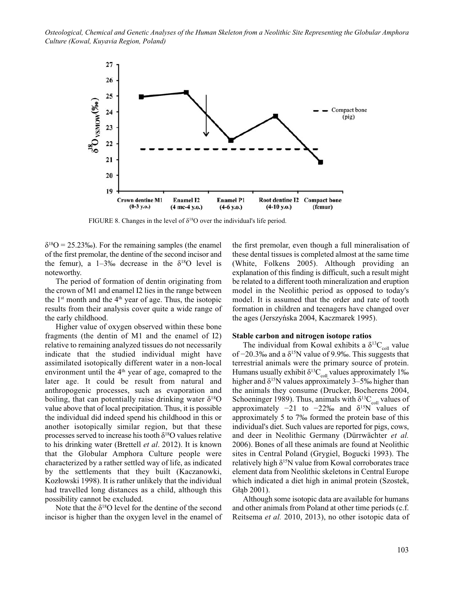

FIGURE 8. Changes in the level of  $\delta^{18}O$  over the individual's life period.

 $\delta^{18}O = 25.23\%$ ). For the remaining samples (the enamel of the first premolar, the dentine of the second incisor and the femur), a  $1-3\%$  decrease in the  $\delta^{18}$ O level is noteworthy.

The period of formation of dentin originating from the crown of M1 and enamel I2 lies in the range between the  $1<sup>st</sup>$  month and the  $4<sup>th</sup>$  year of age. Thus, the isotopic results from their analysis cover quite a wide range of the early childhood.

Higher value of oxygen observed within these bone fragments (the dentin of M1 and the enamel of I2) relative to remaining analyzed tissues do not necessarily indicate that the studied individual might have assimilated isotopically different water in a non-local environment until the  $4<sup>th</sup>$  year of age, comapred to the later age. It could be result from natural and anthropogenic processes, such as evaporation and boiling, that can potentially raise drinking water  $\delta^{18}O$ value above that of local precipitation. Thus, it is possible the individual did indeed spend his childhood in this or another isotopically similar region, but that these processes served to increase his tooth  $\delta^{18}$ O values relative to his drinking water (Brettell *et al*. 2012). It is known that the Globular Amphora Culture people were characterized by a rather settled way of life, as indicated by the settlements that they built (Kaczanowki, Kozłowski 1998). It is rather unlikely that the individual had travelled long distances as a child, although this possibility cannot be excluded.

Note that the  $\delta^{18}O$  level for the dentine of the second incisor is higher than the oxygen level in the enamel of the first premolar, even though a full mineralisation of these dental tissues is completed almost at the same time (White, Folkens 2005). Although providing an explanation of this finding is difficult, such a result might be related to a different tooth mineralization and eruption model in the Neolithic period as opposed to today's model. It is assumed that the order and rate of tooth formation in children and teenagers have changed over the ages (Jerszyńska 2004, Kaczmarek 1995).

#### **Stable carbon and nitrogen isotope ratios**

The individual from Kowal exhibits a  $\delta^{13}C_{\text{coll}}$  value of  $-20.3\%$  and a  $\delta^{15}N$  value of 9.9‰. This suggests that terrestrial animals were the primary source of protein. Humans usually exhibit  $\delta^{13}C_{coll}$  values approximately 1‰ higher and  $\delta^{15}N$  values approximately 3–5‰ higher than the animals they consume (Drucker, Bocherens 2004, Schoeninger 1989). Thus, animals with  $\delta^{13}C_{\text{coll}}$  values of approximately  $-21$  to  $-22\%$  and  $\delta^{15}$ N values of approximately 5 to 7‰ formed the protein base of this individual's diet. Such values are reported for pigs, cows, and deer in Neolithic Germany (Dürrwächter *et al.* 2006). Bones of all these animals are found at Neolithic sites in Central Poland (Grygiel, Bogucki 1993). The relatively high  $\delta^{15}N$  value from Kowal corroborates trace element data from Neolithic skeletons in Central Europe which indicated a diet high in animal protein (Szostek, Głąb 2001).

Although some isotopic data are available for humans and other animals from Poland at other time periods (c.f. Reitsema *et al.* 2010, 2013), no other isotopic data of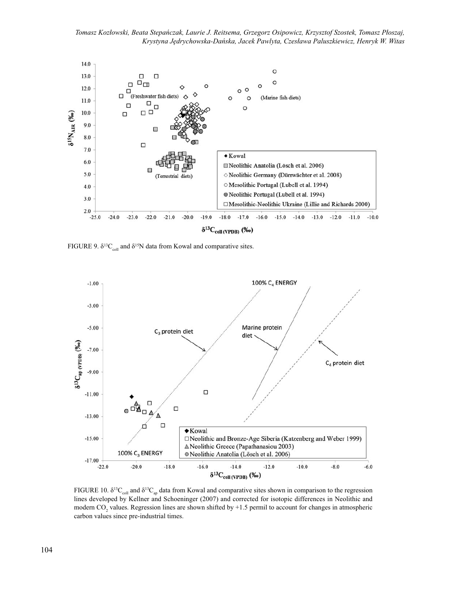

FIGURE 9.  $\delta^{13}C_{coll}$  and  $\delta^{15}N$  data from Kowal and comparative sites.



FIGURE 10.  $\delta^{13}C_{\text{coll}}$  and  $\delta^{13}C_{\text{an}}$  data from Kowal and comparative sites shown in comparison to the regression lines developed by Kellner and Schoeninger (2007) and corrected for isotopic differences in Neolithic and modern CO<sub>2</sub> values. Regression lines are shown shifted by +1.5 permil to account for changes in atmospheric carbon values since pre-industrial times.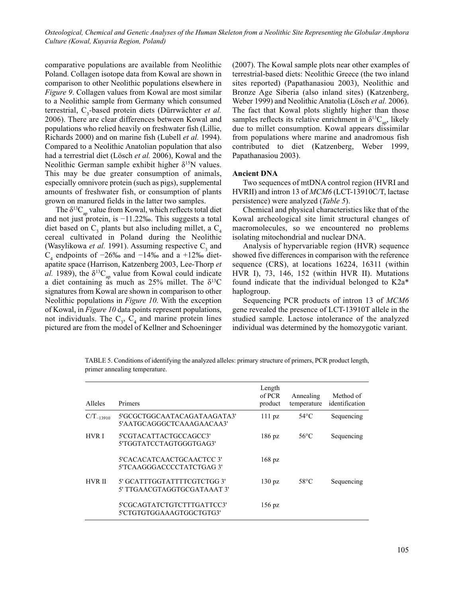comparative populations are available from Neolithic Poland. Collagen isotope data from Kowal are shown in comparison to other Neolithic populations elsewhere in *Figure 9*. Collagen values from Kowal are most similar to a Neolithic sample from Germany which consumed terrestrial, C<sub>3</sub>-based protein diets (Dürrwächter *et al.*) 2006). There are clear differences between Kowal and populations who relied heavily on freshwater fish (Lillie, Richards 2000) and on marine fish (Lubell *et al.* 1994). Compared to a Neolithic Anatolian population that also had a terrestrial diet (Lösch *et al.* 2006), Kowal and the Neolithic German sample exhibit higher  $\delta^{15}N$  values. This may be due greater consumption of animals, especially omnivore protein (such as pigs), supplemental amounts of freshwater fish, or consumption of plants grown on manured fields in the latter two samples.

The  $\delta^{13}C_{\text{an}}$  value from Kowal, which reflects total diet and not just protein, is −11.22‰. This suggests a total diet based on  $C_3$  plants but also including millet, a  $C_4$ cereal cultivated in Poland during the Neolithic (Wasylikowa *et al.* 1991). Assuming respective  $C_3$  and C<sub>4</sub> endpoints of  $-26\%$  and  $-14\%$  and a +12‰ dietapatite space (Harrison, Katzenberg 2003, Lee-Thorp *et al.* 1989), the  $\delta^{13}C_{ap}$  value from Kowal could indicate a diet containing as much as  $25\%$  millet. The  $\delta^{13}$ C signatures from Kowal are shown in comparison to other Neolithic populations in *Figure 10*. With the exception of Kowal, in *Figure 10* data points represent populations, not individuals. The  $C_3$ ,  $C_4$  and marine protein lines pictured are from the model of Kellner and Schoeninger (2007). The Kowal sample plots near other examples of terrestrial-based diets: Neolithic Greece (the two inland sites reported) (Papathanasiou 2003), Neolithic and Bronze Age Siberia (also inland sites) (Katzenberg, Weber 1999) and Neolithic Anatolia (Lösch *et al.* 2006). The fact that Kowal plots slightly higher than those samples reflects its relative enrichment in  $\delta^{13}C_{\alpha}$ , likely due to millet consumption. Kowal appears dissimilar from populations where marine and anadromous fish contributed to diet (Katzenberg, Weber 1999, Papathanasiou 2003).

#### **Ancient DNA**

Two sequences of mtDNA control region (HVRI and HVRII) and intron 13 of *MCM6* (LCT-13910C/T, lactase persistence) were analyzed (*Table 5*).

Chemical and physical characteristics like that of the Kowal archeological site limit structural changes of macromolecules, so we encountered no problems isolating mitochondrial and nuclear DNA.

Analysis of hypervariable region (HVR) sequence showed five differences in comparison with the reference sequence (CRS), at locations 16224, 16311 (within HVR I), 73, 146, 152 (within HVR II). Mutations found indicate that the individual belonged to K2a\* haplogroup.

Sequencing PCR products of intron 13 of *MCM6* gene revealed the presence of LCT-13910T allele in the studied sample. Lactose intolerance of the analyzed individual was determined by the homozygotic variant.

| Alleles        | Primers                                                    | Length<br>of PCR<br>product | Annealing<br>temperature | Method of<br>identification |
|----------------|------------------------------------------------------------|-----------------------------|--------------------------|-----------------------------|
| $C/T_{-13910}$ | 5'GCGCTGGCAATACAGATAAGATA3'<br>5'AATGCAGGGCTCAAAGAACAA3'   | $111$ pz                    | $54^{\circ}$ C           | Sequencing                  |
| <b>HVR I</b>   | 5'CGTACATTACTGCCAGCC3'<br>5'TGGTATCCTAGTGGGTGAG3'          | $186 \text{ pz}$            | $56^{\circ}$ C           | Sequencing                  |
|                | 5'CACACATCAACTGCAACTCC 3'<br>5'TCAAGGGACCCCTATCTGAG 3'     | $168 \text{ pz}$            |                          |                             |
| <b>HVR II</b>  | 5' GCATTTGGTATTTTCGTCTGG 3'<br>5' TTGAACGTAGGTGCGATAAAT 3' | $130 \text{ }$ pz           | 58°C                     | Sequencing                  |
|                | 5'CGCAGTATCTGTCTTTGATTCC3'<br>5'CTGTGTGGAAAGTGGCTGTG3'     | $156 \text{ pz}$            |                          |                             |

TABLE 5. Conditions of identifying the analyzed alleles: primary structure of primers, PCR product length, primer annealing temperature.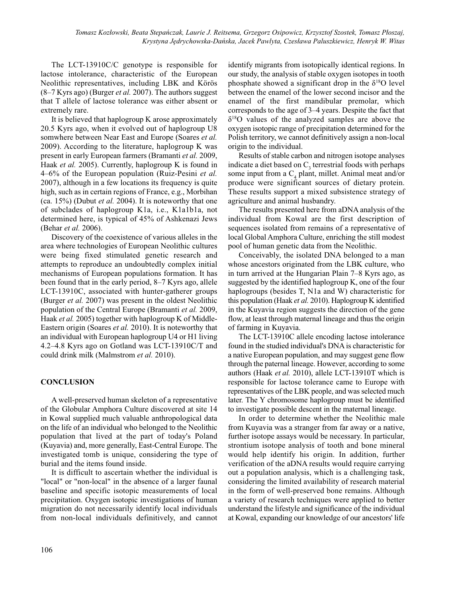The LCT-13910C/C genotype is responsible for lactose intolerance, characteristic of the European Neolithic representatives, including LBK and Körös (8–7 Kyrs ago) (Burger *et al.* 2007). The authors suggest that T allele of lactose tolerance was either absent or extremely rare.

It is believed that haplogroup K arose approximately 20.5 Kyrs ago, when it evolved out of haplogroup U8 somwhere between Near East and Europe (Soares *et al.* 2009). According to the literature, haplogroup K was present in early European farmers (Bramanti *et al.* 2009, Haak *et al.* 2005). Currently, haplogroup K is found in 4–6% of the European population (Ruiz-Pesini *et al.* 2007), although in a few locations its frequency is quite high, such as in certain regions of France, e.g., Morbihan (ca. 15%) (Dubut *et al.* 2004). It is noteworthy that one of subclades of haplogroup K1a, i.e., K1a1b1a, not determined here, is typical of 45% of Ashkenazi Jews (Behar *et al.* 2006).

Discovery of the coexistence of various alleles in the area where technologies of European Neolithic cultures were being fixed stimulated genetic research and attempts to reproduce an undoubtedly complex initial mechanisms of European populations formation. It has been found that in the early period, 8–7 Kyrs ago, allele LCT-13910C, associated with hunter-gatherer groups (Burger *et al.* 2007) was present in the oldest Neolithic population of the Central Europe (Bramanti *et al.* 2009, Haak *et al.* 2005) together with haplogroup K of Middle-Eastern origin (Soares *et al.* 2010). It is noteworthy that an individual with European haplogroup U4 or H1 living 4.2–4.8 Kyrs ago on Gotland was LCT-13910C/T and could drink milk (Malmstrom *et al.* 2010).

## **CONCLUSION**

A well-preserved human skeleton of a representative of the Globular Amphora Culture discovered at site 14 in Kowal supplied much valuable anthropological data on the life of an individual who belonged to the Neolithic population that lived at the part of today's Poland (Kuyavia) and, more generally, East-Central Europe. The investigated tomb is unique, considering the type of burial and the items found inside.

It is difficult to ascertain whether the individual is "local" or "non-local" in the absence of a larger faunal baseline and specific isotopic measurements of local precipitation. Oxygen isotopic investigations of human migration do not necessarily identify local individuals from non-local individuals definitively, and cannot identify migrants from isotopically identical regions. In our study, the analysis of stable oxygen isotopes in tooth phosphate showed a significant drop in the  $\delta^{18}O$  level between the enamel of the lower second incisor and the enamel of the first mandibular premolar, which corresponds to the age of 3–4 years. Despite the fact that  $\delta^{18}$ O values of the analyzed samples are above the oxygen isotopic range of precipitation determined for the Polish territory, we cannot definitively assign a non-local origin to the individual.

Results of stable carbon and nitrogen isotope analyses indicate a diet based on  $C<sub>3</sub>$  terrestrial foods with perhaps some input from a  $C_4$  plant, millet. Animal meat and/or produce were significant sources of dietary protein. These results support a mixed subsistence strategy of agriculture and animal husbandry.

The results presented here from aDNA analysis of the individual from Kowal are the first description of sequences isolated from remains of a representative of local Global Amphora Culture, enriching the still modest pool of human genetic data from the Neolithic.

Conceivably, the isolated DNA belonged to a man whose ancestors originated from the LBK culture, who in turn arrived at the Hungarian Plain 7–8 Kyrs ago, as suggested by the identified haplogroup K, one of the four haplogroups (besides T, N1a and W) characteristic for this population (Haak *et al.* 2010). Haplogroup K identified in the Kuyavia region suggests the direction of the gene flow, at least through maternal lineage and thus the origin of farming in Kuyavia.

The LCT-13910C allele encoding lactose intolerance found in the studied individual's DNA is characteristic for a native European population, and may suggest gene flow through the paternal lineage. However, according to some authors (Haak *et al.* 2010), allele LCT-13910T which is responsible for lactose tolerance came to Europe with representatives of the LBK people, and was selected much later. The Y chromosome haplogroup must be identified to investigate possible descent in the maternal lineage.

In order to determine whether the Neolithic male from Kuyavia was a stranger from far away or a native, further isotope assays would be necessary. In particular, strontium isotope analysis of tooth and bone mineral would help identify his origin. In addition, further verification of the aDNA results would require carrying out a population analysis, which is a challenging task, considering the limited availability of research material in the form of well-preserved bone remains. Although a variety of research techniques were applied to better understand the lifestyle and significance of the individual at Kowal, expanding our knowledge of our ancestors' life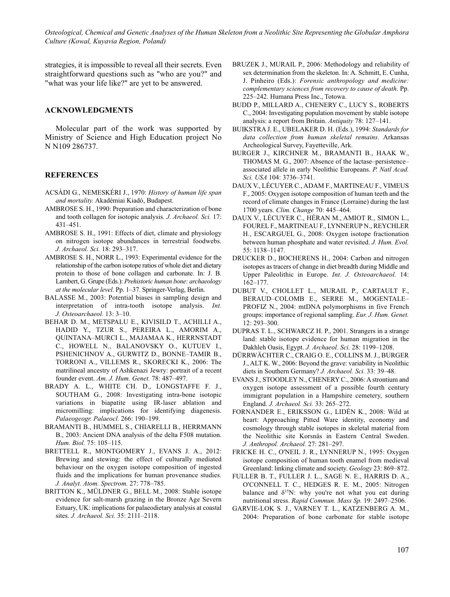strategies, it is impossible to reveal all their secrets. Even straightforward questions such as "who are you?" and "what was your life like?" are yet to be answered.

### **ACKNOWLEDGMENTS**

Molecular part of the work was supported by Ministry of Science and High Education project No N N109 286737.

### **REFERENCES**

- ACSÁDI G., NEMESKÉRI J., 1970: *History of human life span and mortality.* Akadémiai Kiadó, Budapest.
- AMBROSE S. H., 1990: Preparation and characterization of bone and tooth collagen for isotopic analysis. *J. Archaeol. Sci.* 17: 431–451.
- AMBROSE S. H., 1991: Effects of diet, climate and physiology on nitrogen isotope abundances in terrestrial foodwebs. *J. Archaeol. Sci.* 18: 293–317.
- AMBROSE S. H., NORR L., 1993: Experimental evidence for the relationship of the carbon isotope ratios of whole diet and dietary protein to those of bone collagen and carbonate. In: J. B. Lambert, G. Grupe (Eds.): *Prehistoric human bone: archaeology at the molecular level.* Pp. 1–37. Springer-Verlag, Berlin.
- BALASSE M., 2003: Potential biases in sampling design and interpretation of intra-tooth isotope analysis. *Int. J. Osteoarchaeol.* 13: 3–10.
- BEHAR D. M., METSPALU E., KIVISILD T., ACHILLI A., HADID Y., TZUR S., PEREIRA L., AMORIM A., QUINTANA–MURCI L., MAJAMAA K., HERRNSTADT C., HOWELL N., BALANOVSKY O., KUTUEV I., PSHENICHNOV A., GURWITZ D., BONNE–TAMIR B., TORRONI A., VILLEMS R., SKORECKI K., 2006: The matrilineal ancestry of Ashkenazi Jewry: portrait of a recent founder event. *Am. J. Hum. Genet.* 78: 487–497.
- BRADY A. L., WHITE CH. D., LONGSTAFFE F. J., SOUTHAM G., 2008: Investigating intra-bone isotopic variations in biapatite using IR-laser ablation and micromilling: implications for identifying diagenesis. *Palaeogeogr. Palaeocl.* 266: 190–199.
- BRAMANTI B., HUMMEL S., CHIARELLI B., HERRMANN B., 2003: Ancient DNA analysis of the delta F508 mutation. *Hum. Biol.* 75: 105–115.
- BRETTELL R., MONTGOMERY J., EVANS J. A., 2012: Brewing and stewing: the effect of culturally mediated behaviour on the oxygen isotope composition of ingested fluids and the implications for human provenance studies*. J. Analyt. Atom. Spectrom.* 27: 778–785.
- BRITTON K., MÜLDNER G., BELL M., 2008: Stable isotope evidence for salt-marsh grazing in the Bronze Age Severn Estuary, UK: implications for palaeodietary analysis at coastal sites. *J. Archaeol. Sci.* 35: 2111–2118.
- BRUZEK J., MURAIL P., 2006: Methodology and reliability of sex determination from the skeleton. In: A. Schmitt, E. Cunha, J. Pinheiro (Eds.): *Forensic anthropology and medicine: complementary sciences from recovery to cause of death*. Pp. 225–242. Humana Press Inc., Totowa.
- BUDD P., MILLARD A., CHENERY C., LUCY S., ROBERTS C., 2004: Investigating population movement by stable isotope analysis: a report from Britain. *Antiquity* 78: 127–141.
- BUIKSTRA J. E., UBELAKER D. H. (Eds.), 1994: *Standards for data collection from human skeletal remains*. Arkansas Archeological Survey, Fayetteville, Ark.
- BURGER J., KIRCHNER M., BRAMANTI B., HAAK W., THOMAS M. G., 2007: Absence of the lactase–persistence– associated allele in early Neolithic Europeans. *P. Natl Acad. Sci. USA* 104: 3736–3741.
- DAUX V., LÉCUYER C., ADAM F., MARTINEAU F., VIMEUS F., 2005: Oxygen isotope composition of human teeth and the record of climate changes in France (Lorraine) during the last 1700 years. *Clim. Change* 70: 445–464.
- DAUX V., LÉCUYER C., HÉRAN M., AMIOT R., SIMON L., FOUREL F., MARTINEAU F., LYNNERUP N., REYCHLER H., ESCARGUEL G., 2008: Oxygen isotope fractionation between human phosphate and water revisited. *J. Hum. Evol.* 55: 1138–1147.
- DRUCKER D., BOCHERENS H., 2004: Carbon and nitrogen isotopes as tracers of change in diet breadth during Middle and Upper Paleolithic in Europe. *Int. J. Osteoarchaeol.* 14: 162–177.
- DUBUT V., CHOLLET L., MURAIL P., CARTAULT F., BERAUD–COLOMB E., SERRE M., MOGENTALE– PROFIZ N., 2004: mtDNA polymorphisms in five French groups: importance of regional sampling. *Eur. J. Hum. Genet.* 12: 293–300.
- DUPRAS T. L., SCHWARCZ H. P., 2001. Strangers in a strange land: stable isotope evidence for human migration in the Dakhleh Oasis, Egypt. *J. Archaeol. Sci.* 28: 1199–1208.
- DÜRRWÄCHTER C., CRAIG O. E., COLLINS M. J., BURGER J., ALT K. W., 2006: Beyond the grave: variability in Neolithic diets in Southern Germany? *J. Archaeol. Sci.* 33: 39–48.
- EVANS J., STOODLEY N., CHENERY C., 2006: A strontium and oxygen isotope assessment of a possible fourth century immigrant population in a Hampshire cemetery, southern England. *J. Archaeol. Sci.* 33: 265–272.
- FORNANDER E., ERIKSSON G., LIDÉN K., 2008: Wild at heart: Approaching Pitted Ware identity, economy and cosmology through stable isotopes in skeletal material from the Neolithic site Korsnäs in Eastern Central Sweden. *J. Anthropol. Archaeol.* 27: 281–297.
- FRICKE H. C., O'NEIL J. R., LYNNERUP N., 1995: Oxygen isotope composition of human tooth enamel from medieval Greenland: linking climate and society. *Geology* 23: 869–872.
- FULLER B. T., FULLER J. L., SAGE N. E., HARRIS D. A., O'CONNELL T. C., HEDGES R. E. M., 2005: Nitrogen balance and  $\delta^{15}N$ : why you're not what you eat during nutritional stress. *Rapid Commun. Mass Sp.* 19: 2497–2506.
- GARVIE-LOK S. J., VARNEY T. L., KATZENBERG A. M., 2004: Preparation of bone carbonate for stable isotope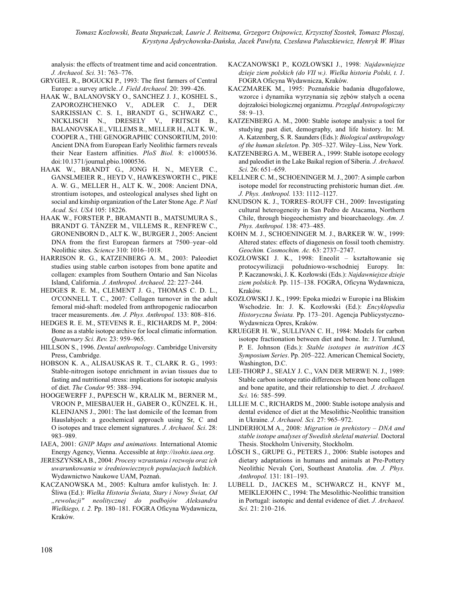analysis: the effects of treatment time and acid concentration. *J. Archaeol. Sci.* 31: 763–776.

- GRYGIEL R., BOGUCKI P., 1993: The first farmers of Central Europe: a survey article. *J. Field Archaeol.* 20: 399–426.
- HAAK W., BALANOVSKY O., SANCHEZ J. J., KOSHEL S., ZAPOROZHCHENKO V., ADLER C. J., DER SARKISSIAN C. S. I., BRANDT G., SCHWARZ C., NICKLISCH N., DRESELY V., FRITSCH B., BALANOVSKA E., VILLEMS R., MELLER H., ALT K. W., COOPER A., THE GENOGRAPHIC CONSORTIUM, 2010: Ancient DNA from European Early Neolithic farmers reveals their Near Eastern affinities. *PloS Biol.* 8: e1000536. doi:10.1371/journal.pbio.1000536.
- HAAK W., BRANDT G., JONG H. N., MEYER C., GANSLMEIER R., HEYD V., HAWKESWORTH C., PIKE A. W. G., MELLER H., ALT K. W., 2008: Ancient DNA, strontium isotopes, and osteological analyses shed light on social and kinship organization of the Later Stone Age. *P. Natl Acad. Sci. USA* 105: 18226.
- HAAK W., FORSTER P., BRAMANTI B., MATSUMURA S., BRANDT G. TÄNZER M., VILLEMS R., RENFREW C., GRONENBORN D., ALT K. W., BURGER J., 2005: Ancient DNA from the first European farmers at 7500–year–old Neolithic sites. *Science* 310: 1016–1018.
- HARRISON R. G., KATZENBERG A. M., 2003: Paleodiet studies using stable carbon isotopes from bone apatite and collagen: examples from Southern Ontario and San Nicolas Island, California. *J. Anthropol. Archaeol.* 22: 227–244.
- HEDGES R. E. M., CLEMENT J. G., THOMAS C. D. L., O'CONNELL T. C., 2007: Collagen turnover in the adult femoral mid-shaft: modeled from anthropogenic radiocarbon tracer measurements. *Am. J. Phys. Anthropol.* 133: 808–816.
- HEDGES R. E. M., STEVENS R. E., RICHARDS M. P., 2004: Bone as a stable isotope archive for local climatic information. *Quaternary Sci. Rev.* 23: 959–965.
- HILLSON S., 1996. *Dental anthropology*. Cambridge University Press, Cambridge.
- HOBSON K. A., ALISAUSKAS R. T., CLARK R. G., 1993: Stable-nitrogen isotope enrichment in avian tissues due to fasting and nutritional stress: implications for isotopic analysis of diet. *The Condor* 95: 388–394.
- HOOGEWERFF J., PAPESCH W., KRALIK M., BERNER M., VROON P., MIESBAUER H., GABER O., KÜNZEL K. H., KLEINJANS J., 2001: The last domicile of the Iceman from Hauslabjoch: a geochemical approach using Sr, C and O isotopes and trace element signatures. *J. Archaeol. Sci*. 28: 983–989.
- IAEA, 2001: *GNIP Maps and animations.* International Atomic Energy Agency, Vienna. Accessible at *http://isohis.iaea.org*.
- JERESZYŃSKA B., 2004: *Procesy wzrastania i rozwoju oraz ich uwarunkowania w średniowiecznych populacjach ludzkich*. Wydawnictwo Naukowe UAM, Poznań.
- KACZANOWSKA M., 2005: Kultura amfor kulistych. In: J. Śliwa (Ed.): *Wielka Historia Świata, Stary i Nowy Świat, Od "rewolucji" neolitycznej do podbojów Aleksandra Wielkiego, t. 2.* Pp. 180–181. FOGRA Oficyna Wydawnicza, Kraków.
- KACZANOWSKI P., KOZŁOWSKI J., 1998: *Najdawniejsze dzieje ziem polskich (do VII w.). Wielka historia Polski, t. 1*. FOGRA Oficyna Wydawnicza, Kraków.
- KACZMAREK M., 1995: Poznańskie badania długofalowe, wzorce i dynamika wyrzynania się zębów stałych a ocena dojrzałości biologicznej organizmu. *Przegląd Antropologiczny* 58: 9–13.
- KATZENBERG A. M., 2000: Stable isotope analysis: a tool for studying past diet, demography, and life history. In: M. A. Katzenberg, S. R. Saunders (Eds.): *Biological anthropology of the human skeleton*. Pp. 305–327. Wiley–Liss, New York.
- KATZENBERG A. M., WEBER A., 1999: Stable isotope ecology and paleodiet in the Lake Baikal region of Siberia. *J. Archaeol. Sci.* 26: 651–659.
- KELLNER C. M., SCHOENINGER M. J., 2007: A simple carbon isotope model for reconstructing prehistoric human diet. *Am. J. Phys. Anthropol.* 133: 1112–1127.
- KNUDSON K. J., TORRES–ROUFF CH., 2009: Investigating cultural heterogeneity in San Pedro de Atacama, Northern Chile, through biogeochemistry and bioarchaeology. *Am. J. Phys. Anthropol.* 138: 473–485.
- KOHN M. J., SCHOENINGER M. J., BARKER W. W., 1999: Altered states: effects of diagenesis on fossil tooth chemistry. *Geochim. Cosmochim. Ac.* 63: 2737–2747.
- KOZŁOWSKI J. K., 1998: Eneolit kształtowanie się protocywilizacji południowo-wschodniej Europy. In: P. Kaczanowski, J. K. Kozłowski (Eds.): *Najdawniejsze dzieje ziem polskich.* Pp. 115–138. FOGRA, Oficyna Wydawnicza, Kraków.
- KOZŁOWSKI J. K., 1999: Epoka miedzi w Europie i na Bliskim Wschodzie. In: J. K. Kozłowski (Ed.): *Encyklopedia Historyczna Świata.* Pp. 173–201. Agencja Publicystyczno-Wydawnicza Opres, Kraków.
- KRUEGER H. W., SULLIVAN C. H., 1984: Models for carbon isotope fractionation between diet and bone. In: J. Turnlund, P. E. Johnson (Eds.): *Stable isotopes in nutrition ACS Symposium Series*. Pp. 205–222. American Chemical Society, Washington, D.C.
- LEE-THORP J., SEALY J. C., VAN DER MERWE N. J., 1989: Stable carbon isotope ratio differences between bone collagen and bone apatite, and their relationship to diet. *J. Archaeol. Sci.* 16: 585–599.
- LILLIE M. C., RICHARDS M., 2000: Stable isotope analysis and dental evidence of diet at the Mesolithic-Neolithic transition in Ukraine. *J. Archaeol. Sci.* 27: 965–972.
- LINDERHOLM A., 2008: *Migration in prehistory DNA and stable isotope analyses of Swedish skeletal material.* Doctoral Thesis. Stockholm University, Stockholm.
- LÖSCH S., GRUPE G., PETERS J., 2006: Stable isotopes and dietary adaptations in humans and animals at Pre-Pottery Neolithic Nevalı Çori, Southeast Anatolia. *Am. J. Phys. Anthropol.* 131: 181–193.
- LUBELL D., JACKES M., SCHWARCZ H., KNYF M., MEIKLEJOHN C., 1994: The Mesolithic-Neolithic transition in Portugal: isotopic and dental evidence of diet. *J. Archaeol. Sci.* 21: 210–216.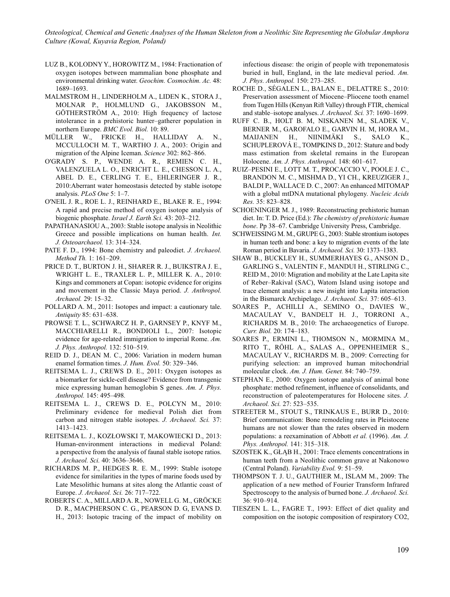- LUZ B., KOLODNY Y., HOROWITZ M., 1984: Fractionation of oxygen isotopes between mammalian bone phosphate and environmental drinking water. *Geochim. Cosmochim. Ac.* 48: 1689–1693.
- MALMSTROM H., LINDERHOLM A., LIDEN K., STORA J., MOLNAR P., HOLMLUND G., JAKOBSSON M., GÖTHERSTRÖM A., 2010: High frequency of lactose intolerance in a prehistoric hunter–gatherer population in northern Europe. *BMC Evol. Biol.* 10: 89.
- MÜLLER W., FRICKE H., HALLIDAY A. N., MCCULLOCH M. T., WARTHO J. A., 2003: Origin and migration of the Alpine Iceman. *Science* 302: 862–866.
- O'GRADY S. P., WENDE A. R., REMIEN C. H., VALENZUELA L. O., ENRICHT L. E., CHESSON L. A., ABEL D. E., CERLING T. E., EHLERINGER J. R., 2010:Aberrant water homeostasis detected by stable isotope analysis. *PLoS One* 5: 1–7.
- O'NEIL J. R., ROE L. J., REINHARD E., BLAKE R. E., 1994: A rapid and precise method of oxygen isotope analysis of biogenic phosphate. *Israel J. Earth Sci.* 43: 203–212.
- PAPATHANASIOU A., 2003: Stable isotope analysis in Neolithic Greece and possible implications on human health. *Int. J. Osteoarchaeol.* 13: 314–324.
- PATE F. D., 1994: Bone chemistry and paleodiet. *J. Archaeol. Method Th.* 1: 161–209.
- PRICE D. T., BURTON J. H., SHARER R. J., BUIKSTRA J. E., WRIGHT L. E., TRAXLER L. P., MILLER K. A., 2010: Kings and commoners at Copan: isotopic evidence for origins and movement in the Classic Maya period. *J. Anthropol. Archaeol.* 29: 15–32.
- POLLARD A. M., 2011: Isotopes and impact: a cautionary tale. *Antiquity* 85: 631–638.
- PROWSE T. L., SCHWARCZ H. P., GARNSEY P., KNYF M., MACCHIARELLI R., BONDIOLI L., 2007: Isotopic evidence for age-related immigration to imperial Rome. *Am. J. Phys. Anthropol.* 132: 510–519.
- REID D. J., DEAN M. C., 2006: Variation in modern human enamel formation times. *J. Hum. Evol.* 50: 329–346.
- REITSEMA L. J., CREWS D. E., 2011: Oxygen isotopes as a biomarker for sickle-cell disease? Evidence from transgenic mice expressing human hemoglobin S genes. *Am. J. Phys. Anthropol.* 145: 495–498*.*
- REITSEMA L. J., CREWS D. E., POLCYN M., 2010: Preliminary evidence for medieval Polish diet from carbon and nitrogen stable isotopes. *J. Archaeol. Sci.* 37: 1413–1423.
- REITSEMA L. J., KOZŁOWSKI T, MAKOWIECKI D., 2013: Human-environment interactions in medieval Poland: a perspective from the analysis of faunal stable isotope ratios. *J. Archaeol. Sci.* 40: 3636–3646.
- RICHARDS M. P., HEDGES R. E. M., 1999: Stable isotope evidence for similarities in the types of marine foods used by Late Mesolithic humans at sites along the Atlantic coast of Europe. *J. Archaeol. Sci.* 26: 717–722.
- ROBERTS C. A., MILLARD A. R., NOWELL G. M., GRÖCKE D. R., MACPHERSON C. G., PEARSON D. G, EVANS D. H., 2013: Isotopic tracing of the impact of mobility on

infectious disease: the origin of people with treponematosis buried in hull, England, in the late medieval period. *Am. J. Phys. Anthropol.* 150: 273–285.

- ROCHE D., SÉGALEN L., BALAN E., DELATTRE S., 2010: Preservation assessment of Miocene–Pliocene tooth enamel from Tugen Hills (Kenyan Rift Valley) through FTIR, chemical and stable–isotope analyses. *J. Archaeol. Sci.* 37: 1690–1699.
- RUFF C. B., HOLT B. M, NISKANEN M., SLADEK V., BERNER M., GAROFALO E., GARVIN H. M, HORA M., MAIJANEN H., NIINIMÄKI S., SALO K., SCHUPLEROVÁ E., TOMPKINS D., 2012: Stature and body mass estimation from skeletal remains in the European Holocene. *Am. J. Phys. Anthropol.* 148: 601–617.
- RUIZ–PESINI E., LOTT M. T., PROCACCIO V., POOLE J. C., BRANDON M. C., MISHMA D., YI CH., KREUZIGER J., BALDI P., WALLACE D. C., 2007: An enhanced MITOMAP with a global mtDNA mutational phylogeny. *Nucleic Acids Res.* 35: 823–828.
- SCHOENINGER M. J., 1989: Reconstructing prehistoric human diet. In: T. D. Price (Ed.): *The chemistry of prehistoric human bone*. Pp 38–67. Cambridge University Press, Cambridge.
- SCHWEISSING M. M., GRUPE G., 2003: Stable strontium isotopes in human teeth and bone: a key to migration events of the late Roman period in Bavaria. *J. Archaeol. Sci.* 30: 1373–1383.
- SHAW B., BUCKLEY H., SUMMERHAYES G., ANSON D., GARLING S., VALENTIN F., MANDUI H., STIRLING C., REID M., 2010: Migration and mobility at the Late Lapita site of Reber–Rakival (SAC), Watom Island using isotope and trace element analysis: a new insight into Lapita interaction in the Bismarck Archipelago. *J. Archaeol. Sci.* 37: 605–613.
- SOARES P., ACHILLI A., SEMINO O., DAVIES W., MACAULAY V., BANDELT H. J., TORRONI A., RICHARDS M. B., 2010: The archaeogenetics of Europe. *Curr. Biol.* 20: 174–183.
- SOARES P., ERMINI L., THOMSON N., MORMINA M., RITO T., RÖHL A., SALAS A., OPPENHEIMER S., MACAULAY V., RICHARDS M. B., 2009: Correcting for purifying selection: an improved human mitochondrial molecular clock. *Am. J. Hum. Genet.* 84: 740–759.
- STEPHAN E., 2000: Oxygen isotope analysis of animal bone phosphate: method refinement, influence of consolidants, and reconstruction of paleotemperatures for Holocene sites. *J. Archaeol. Sci.* 27: 523–535.
- STREETER M., STOUT S., TRINKAUS E., BURR D., 2010: Brief communication: Bone remodeling rates in Pleistocene humans are not slower than the rates observed in modern populations: a reexamination of Abbott *et al.* (1996). *Am. J. Phys. Anthropol.* 141: 315–318.
- SZOSTEK K., GŁĄB H., 2001: Trace elements concentrations in human teeth from a Neolithic common grave at Nakonowo (Central Poland). *Variability Evol.* 9: 51–59.
- THOMPSON T. J. U., GAUTHIER M., ISLAM M., 2009: The application of a new method of Fourier Transform Infrared Spectroscopy to the analysis of burned bone. *J. Archaeol. Sci.* 36: 910–914.
- TIESZEN L. L., FAGRE T., 1993: Effect of diet quality and composition on the isotopic composition of respiratory CO2,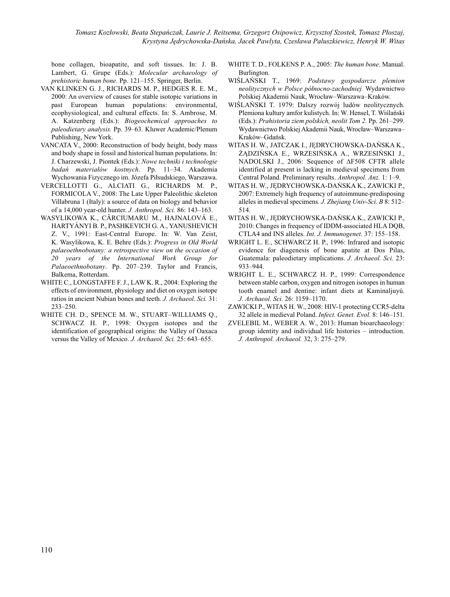bone collagen, bioapatite, and soft tissues. In: J. B. Lambert, G. Grupe (Eds.): *Molecular archaeology of prehistoric human bone.* Pp. 121–155. Springer, Berlin.

- VAN KLINKEN G. J., RICHARDS M. P., HEDGES R. E. M., 2000: An overview of causes for stable isotopic variations in past European human populations: environmental, ecophysiological, and cultural effects. In: S. Ambrose, M. A. Katzenberg (Eds.): *Biogeochemical approaches to paleodietary analysis.* Pp. 39–63. Kluwer Academic/Plenum Publishing, New York.
- VANCATA V., 2000: Reconstruction of body height, body mass and body shape in fossil and historical human populations. In: J. Charzewski, J. Piontek (Eds.): *Nowe techniki i technologie badań materiałów kostnych*. Pp. 11–34. Akademia Wychowania Fizycznego im. Józefa Piłsudskiego, Warszawa.
- VERCELLOTTI G., ALCIATI G., RICHARDS M. P., FORMICOLA V., 2008: The Late Upper Paleolithic skeleton Villabruna 1 (Italy): a source of data on biology and behavior of a 14,000 year-old hunter. *J. Anthropol. Sci.* 86: 143–163.
- WASYLIKOWA K., CÂRCIUMARU M., HAJNALOVÁ E., HARTYÁNYI B. P., PASHKEVICH G. A., YANUSHEVICH Z. V., 1991: East-Central Europe. In: W. Van Zeist, K. Wasylikowa, K. E. Behre (Eds.): *Progress in Old World palaeoethnobotany: a retrospective view on the occasion of 20 years of the International Work Group for Palaeoethnobotany*. Pp. 207–239. Taylor and Francis, Balkema, Rotterdam.
- WHITE C., LONGSTAFFE F. J., LAW K. R., 2004: Exploring the effects of environment, physiology and diet on oxygen isotope ratios in ancient Nubian bones and teeth. *J. Archaeol. Sci.* 31: 233–250.
- WHITE CH. D., SPENCE M. W., STUART–WILLIAMS Q., SCHWACZ H. P., 1998: Oxygen isotopes and the identification of geographical origins: the Valley of Oaxaca versus the Valley of Mexico. *J. Archaeol. Sci.* 25: 643–655.
- WHITE T. D., FOLKENS P. A., 2005: *The human bone*. Manual. Burlington.
- WIŚLAŃSKI T., 1969: *Podstawy gospodarcze plemion neolitycznych w Polsce północno-zachodniej.* Wydawnictwo Polskiej Akademii Nauk, Wrocław–Warszawa–Kraków.
- WIŚLAŃSKI T. 1979: Dalszy rozwój ludów neolitycznych. Plemiona kultury amfor kulistych. In: W. Hensel, T. Wiślański (Eds.): *Prahistoria ziem polskich, neolit Tom 2.* Pp. 261–299. Wydawnictwo Polskiej Akademii Nauk, Wrocław–Warszawa– Kraków–Gdańsk.
- WITAS H. W., JATCZAK I., JĘDRYCHOWSKA-DAŃSKA K., ŻĄDZIŃSKA E., WRZESIŃSKA A., WRZESIŃSKI J., NADOLSKI J., 2006: Sequence of ΔF508 CFTR allele identified at present is lacking in medieval specimens from Central Poland. Preliminary results. *Anthropol. Anz.* 1: 1–9.
- WITAS H. W., JĘDRYCHOWSKA-DAŃSKA K., ZAWICKI P., 2007: Extremely high frequency of autoimmune-predisposing alleles in medieval specimens. *J. Zhejiang Univ-Sci. B* 8: 512– 514.
- WITAS H. W., JĘDRYCHOWSKA-DAŃSKA K., ZAWICKI P., 2010: Changes in frequency of IDDM-associated HLA DQB, CTLA4 and INS alleles. *Int. J. Immunogenet.* 37: 155–158.
- WRIGHT L. E., SCHWARCZ H. P., 1996: Infrared and isotopic evidence for diagenesis of bone apatite at Dos Pilas, Guatemala: paleodietary implications. *J. Archaeol. Sci.* 23: 933–944.
- WRIGHT L. E., SCHWARCZ H. P., 1999: Correspondence between stable carbon, oxygen and nitrogen isotopes in human tooth enamel and dentine: infant diets at Kaminaljuyú. *J. Archaeol. Sci.* 26: 1159–1170.
- ZAWICKI P., WITAS H. W., 2008: HIV-1 protecting CCR5-delta 32 allele in medieval Poland. *Infect. Genet. Evol.* 8: 146–151.
- ZVELEBIL M., WEBER A. W., 2013: Human bioarchaeology: group identity and individual life histories – introduction. *J. Anthropol. Archaeol.* 32, 3: 275–279.